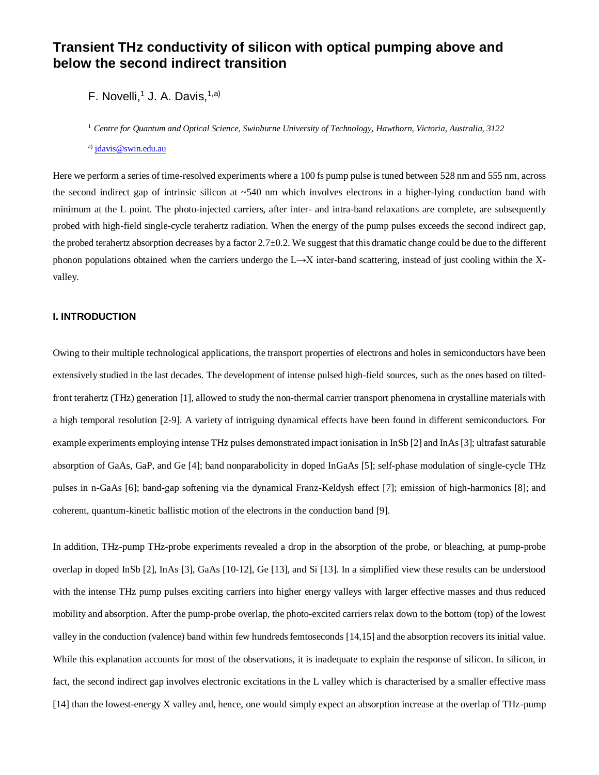# **Transient THz conductivity of silicon with optical pumping above and below the second indirect transition**

F. Novelli,<sup>1</sup> J. A. Davis,<sup>1,a)</sup>

<sup>1</sup> *Centre for Quantum and Optical Science, Swinburne University of Technology, Hawthorn, Victoria, Australia, 3122*

a) [jdavis@swin.edu.au](mailto:jdavis@swin.edu.au)

Here we perform a series of time-resolved experiments where a 100 fs pump pulse is tuned between 528 nm and 555 nm, across the second indirect gap of intrinsic silicon at  $~540$  nm which involves electrons in a higher-lying conduction band with minimum at the L point. The photo-injected carriers, after inter- and intra-band relaxations are complete, are subsequently probed with high-field single-cycle terahertz radiation. When the energy of the pump pulses exceeds the second indirect gap, the probed terahertz absorption decreases by a factor 2.7±0.2. We suggest that this dramatic change could be due to the different phonon populations obtained when the carriers undergo the  $L \rightarrow X$  inter-band scattering, instead of just cooling within the Xvalley.

# **I. INTRODUCTION**

Owing to their multiple technological applications, the transport properties of electrons and holes in semiconductors have been extensively studied in the last decades. The development of intense pulsed high-field sources, such as the ones based on tiltedfront terahertz (THz) generation [1], allowed to study the non-thermal carrier transport phenomena in crystalline materials with a high temporal resolution [2-9]. A variety of intriguing dynamical effects have been found in different semiconductors. For example experiments employing intense THz pulses demonstrated impact ionisation in InSb [2] and InAs [3]; ultrafast saturable absorption of GaAs, GaP, and Ge [4]; band nonparabolicity in doped InGaAs [5]; self-phase modulation of single-cycle THz pulses in n-GaAs [6]; band-gap softening via the dynamical Franz-Keldysh effect [7]; emission of high-harmonics [8]; and coherent, quantum-kinetic ballistic motion of the electrons in the conduction band [9].

In addition, THz-pump THz-probe experiments revealed a drop in the absorption of the probe, or bleaching, at pump-probe overlap in doped InSb [2], InAs [3], GaAs [10-12], Ge [13], and Si [13]. In a simplified view these results can be understood with the intense THz pump pulses exciting carriers into higher energy valleys with larger effective masses and thus reduced mobility and absorption. After the pump-probe overlap, the photo-excited carriers relax down to the bottom (top) of the lowest valley in the conduction (valence) band within few hundreds femtoseconds [14,15] and the absorption recovers its initial value. While this explanation accounts for most of the observations, it is inadequate to explain the response of silicon. In silicon, in fact, the second indirect gap involves electronic excitations in the L valley which is characterised by a smaller effective mass [14] than the lowest-energy X valley and, hence, one would simply expect an absorption increase at the overlap of THz-pump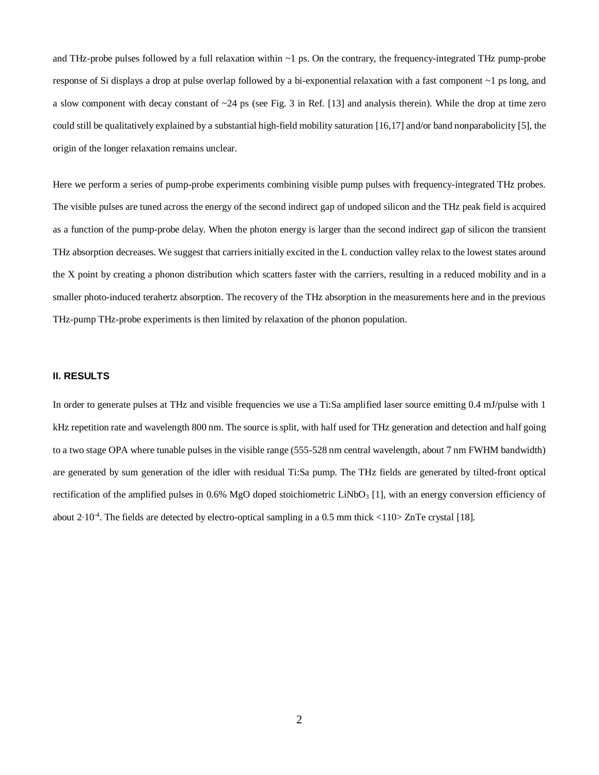and THz-probe pulses followed by a full relaxation within ~1 ps. On the contrary, the frequency-integrated THz pump-probe response of Si displays a drop at pulse overlap followed by a bi-exponential relaxation with a fast component ~1 ps long, and a slow component with decay constant of  $\sim$ 24 ps (see Fig. 3 in Ref. [13] and analysis therein). While the drop at time zero could still be qualitatively explained by a substantial high-field mobility saturation [16,17] and/or band nonparabolicity [5], the origin of the longer relaxation remains unclear.

Here we perform a series of pump-probe experiments combining visible pump pulses with frequency-integrated THz probes. The visible pulses are tuned across the energy of the second indirect gap of undoped silicon and the THz peak field is acquired as a function of the pump-probe delay. When the photon energy is larger than the second indirect gap of silicon the transient THz absorption decreases. We suggest that carriers initially excited in the L conduction valley relax to the lowest states around the X point by creating a phonon distribution which scatters faster with the carriers, resulting in a reduced mobility and in a smaller photo-induced terahertz absorption. The recovery of the THz absorption in the measurements here and in the previous THz-pump THz-probe experiments is then limited by relaxation of the phonon population.

## **II. RESULTS**

In order to generate pulses at THz and visible frequencies we use a Ti:Sa amplified laser source emitting 0.4 mJ/pulse with 1 kHz repetition rate and wavelength 800 nm. The source is split, with half used for THz generation and detection and half going to a two stage OPA where tunable pulses in the visible range (555-528 nm central wavelength, about 7 nm FWHM bandwidth) are generated by sum generation of the idler with residual Ti:Sa pump. The THz fields are generated by tilted-front optical rectification of the amplified pulses in 0.6% MgO doped stoichiometric LiNbO<sub>3</sub> [1], with an energy conversion efficiency of about 2∙10-4 . The fields are detected by electro-optical sampling in a 0.5 mm thick <110> ZnTe crystal [18].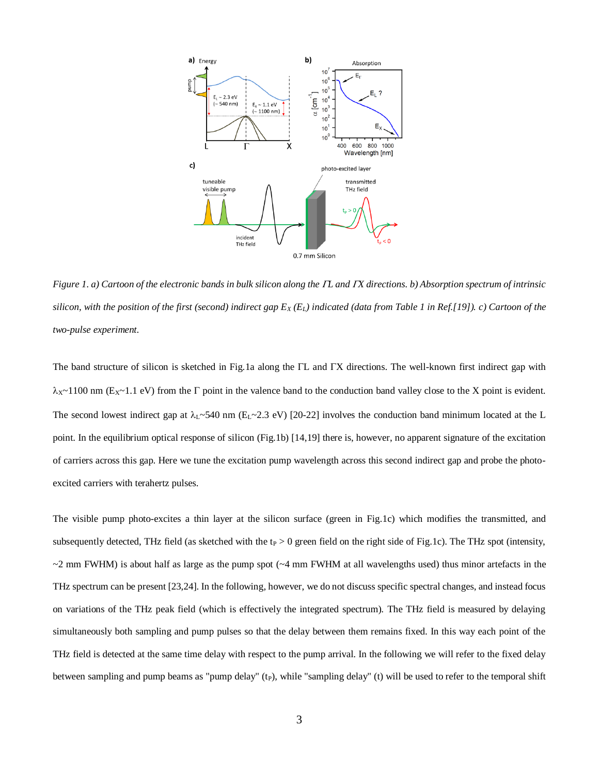

*Figure 1. a) Cartoon of the electronic bands in bulk silicon along the L and X directions. b) Absorption spectrum of intrinsic silicon, with the position of the first (second) indirect gap E<sup>X</sup> (EL) indicated (data from Table 1 in Ref.[19]). c) Cartoon of the two-pulse experiment.*

The band structure of silicon is sketched in Fig.1a along the  $\Gamma L$  and  $\Gamma X$  directions. The well-known first indirect gap with  $\lambda$ x~1100 nm (Ex~1.1 eV) from the  $\Gamma$  point in the valence band to the conduction band valley close to the X point is evident. The second lowest indirect gap at  $\lambda_L \sim 540$  nm (E<sub>L</sub> $\sim$ 2.3 eV) [20-22] involves the conduction band minimum located at the L point. In the equilibrium optical response of silicon (Fig.1b) [14,19] there is, however, no apparent signature of the excitation of carriers across this gap. Here we tune the excitation pump wavelength across this second indirect gap and probe the photoexcited carriers with terahertz pulses.

The visible pump photo-excites a thin layer at the silicon surface (green in Fig.1c) which modifies the transmitted, and subsequently detected, THz field (as sketched with the  $t_P > 0$  green field on the right side of Fig.1c). The THz spot (intensity,  $\sim$ 2 mm FWHM) is about half as large as the pump spot ( $\sim$ 4 mm FWHM at all wavelengths used) thus minor artefacts in the THz spectrum can be present [23,24]. In the following, however, we do not discuss specific spectral changes, and instead focus on variations of the THz peak field (which is effectively the integrated spectrum). The THz field is measured by delaying simultaneously both sampling and pump pulses so that the delay between them remains fixed. In this way each point of the THz field is detected at the same time delay with respect to the pump arrival. In the following we will refer to the fixed delay between sampling and pump beams as "pump delay" (t<sub>P</sub>), while "sampling delay" (t) will be used to refer to the temporal shift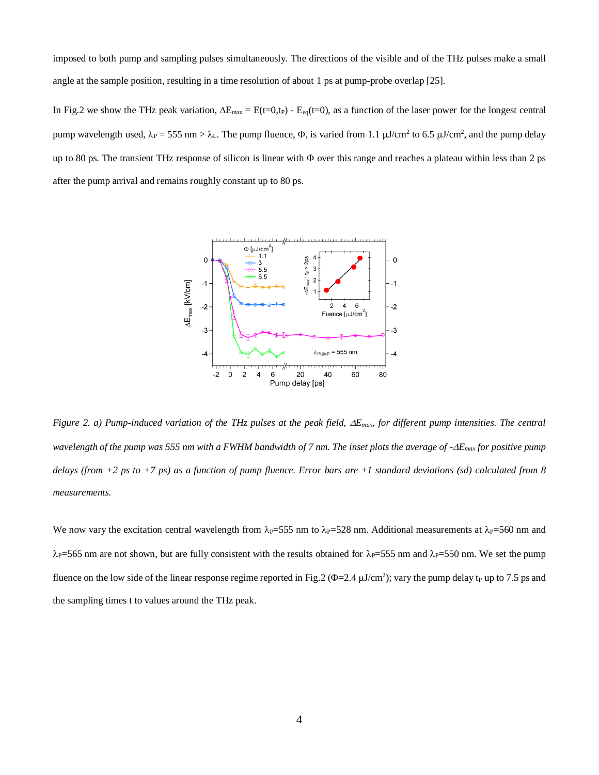imposed to both pump and sampling pulses simultaneously. The directions of the visible and of the THz pulses make a small angle at the sample position, resulting in a time resolution of about 1 ps at pump-probe overlap [25].

In Fig.2 we show the THz peak variation,  $\Delta E_{\text{max}} = E(t=0,t_P) - E_{eq}(t=0)$ , as a function of the laser power for the longest central pump wavelength used,  $\lambda_P = 555$  nm  $> \lambda_L$ . The pump fluence,  $\Phi$ , is varied from 1.1  $\mu$ J/cm<sup>2</sup> to 6.5  $\mu$ J/cm<sup>2</sup>, and the pump delay up to 80 ps. The transient THz response of silicon is linear with  $\Phi$  over this range and reaches a plateau within less than 2 ps after the pump arrival and remains roughly constant up to 80 ps.



*Figure 2. a) Pump-induced variation of the THz pulses at the peak field,*  $\Delta E_{max}$  *for different pump intensities. The central wavelength of the pump was 555 nm with a FWHM bandwidth of 7 nm. The inset plots the average of -Emax for positive pump delays (from +2 ps to +7 ps) as a function of pump fluence. Error bars are ±1 standard deviations (sd) calculated from 8 measurements.*

We now vary the excitation central wavelength from  $\lambda_{P} = 555$  nm to  $\lambda_{P} = 528$  nm. Additional measurements at  $\lambda_{P} = 560$  nm and  $\lambda_P$ =565 nm are not shown, but are fully consistent with the results obtained for  $\lambda_P$ =555 nm and  $\lambda_P$ =550 nm. We set the pump fluence on the low side of the linear response regime reported in Fig.2 ( $\Phi$ =2.4  $\mu$ J/cm<sup>2</sup>); vary the pump delay t<sub>P</sub> up to 7.5 ps and the sampling times t to values around the THz peak.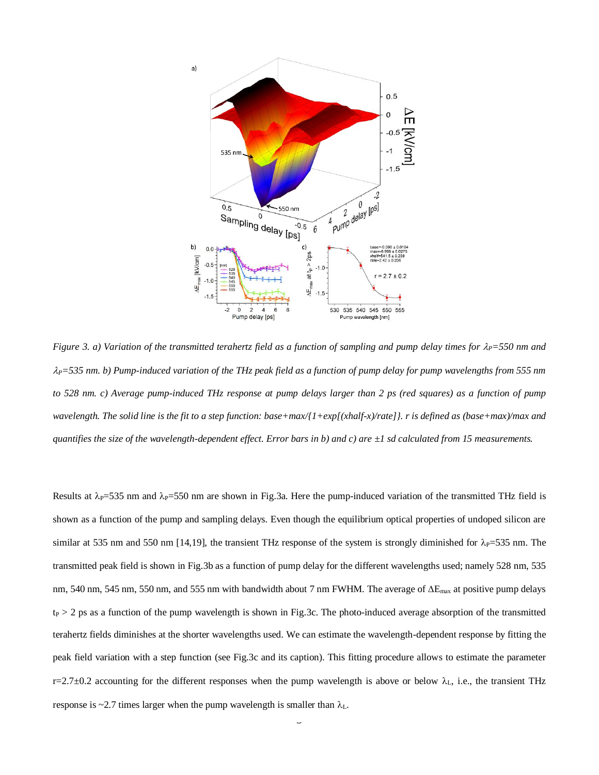

*Figure 3. a) Variation of the transmitted terahertz field as a function of sampling and pump delay times for*  $\lambda_P$ *=550 nm and*  $\lambda_P$ =535 nm. b) Pump-induced variation of the THz peak field as a function of pump delay for pump wavelengths from 555 nm *to 528 nm. c) Average pump-induced THz response at pump delays larger than 2 ps (red squares) as a function of pump wavelength. The solid line is the fit to a step function: base+max/{1+exp[(xhalf-x)/rate]}. r is defined as (base+max)/max and quantifies the size of the wavelength-dependent effect. Error bars in b) and c) are ±1 sd calculated from 15 measurements.*

Results at  $\lambda_{P}$ =535 nm and  $\lambda_{P}$ =550 nm are shown in Fig.3a. Here the pump-induced variation of the transmitted THz field is shown as a function of the pump and sampling delays. Even though the equilibrium optical properties of undoped silicon are similar at 535 nm and 550 nm [14,19], the transient THz response of the system is strongly diminished for  $\lambda_P$ =535 nm. The transmitted peak field is shown in Fig.3b as a function of pump delay for the different wavelengths used; namely 528 nm, 535 nm, 540 nm, 545 nm, 550 nm, and 555 nm with bandwidth about 7 nm FWHM. The average of  $\Delta E_{\text{max}}$  at positive pump delays  $t_P$  > 2 ps as a function of the pump wavelength is shown in Fig.3c. The photo-induced average absorption of the transmitted terahertz fields diminishes at the shorter wavelengths used. We can estimate the wavelength-dependent response by fitting the peak field variation with a step function (see Fig.3c and its caption). This fitting procedure allows to estimate the parameter  $r=2.7\pm0.2$  accounting for the different responses when the pump wavelength is above or below  $\lambda_L$ , i.e., the transient THz response is ~2.7 times larger when the pump wavelength is smaller than  $\lambda_L$ .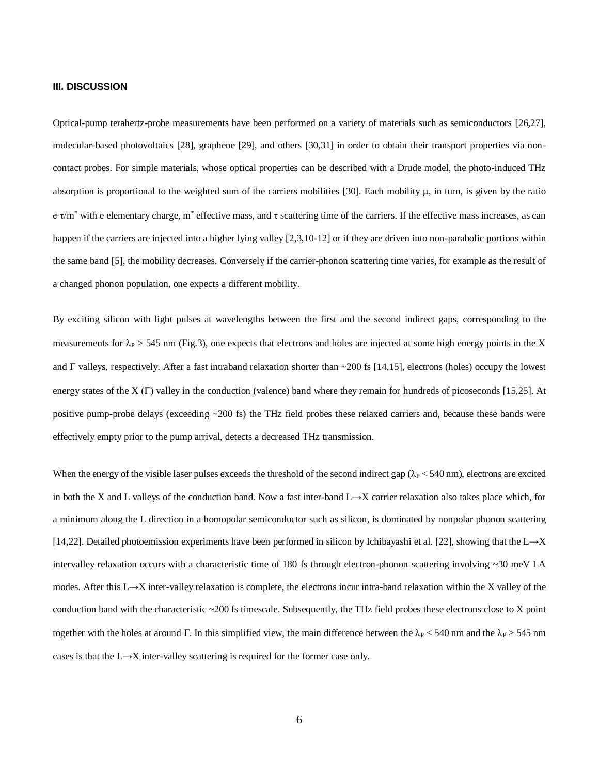# **III. DISCUSSION**

Optical-pump terahertz-probe measurements have been performed on a variety of materials such as semiconductors [26,27], molecular-based photovoltaics [28], graphene [29], and others [30,31] in order to obtain their transport properties via noncontact probes. For simple materials, whose optical properties can be described with a Drude model, the photo-induced THz absorption is proportional to the weighted sum of the carriers mobilities [30]. Each mobility  $\mu$ , in turn, is given by the ratio e∙ $\tau/m^*$  with e elementary charge, m<sup>\*</sup> effective mass, and  $\tau$  scattering time of the carriers. If the effective mass increases, as can happen if the carriers are injected into a higher lying valley [2,3,10-12] or if they are driven into non-parabolic portions within the same band [5], the mobility decreases. Conversely if the carrier-phonon scattering time varies, for example as the result of a changed phonon population, one expects a different mobility.

By exciting silicon with light pulses at wavelengths between the first and the second indirect gaps, corresponding to the measurements for  $\lambda_P > 545$  nm (Fig.3), one expects that electrons and holes are injected at some high energy points in the X and  $\Gamma$  valleys, respectively. After a fast intraband relaxation shorter than  $\sim$ 200 fs [14,15], electrons (holes) occupy the lowest energy states of the  $X(\Gamma)$  valley in the conduction (valence) band where they remain for hundreds of picoseconds [15,25]. At positive pump-probe delays (exceeding ~200 fs) the THz field probes these relaxed carriers and, because these bands were effectively empty prior to the pump arrival, detects a decreased THz transmission.

When the energy of the visible laser pulses exceeds the threshold of the second indirect gap ( $\lambda_P < 540$  nm), electrons are excited in both the X and L valleys of the conduction band. Now a fast inter-band L→X carrier relaxation also takes place which, for a minimum along the L direction in a homopolar semiconductor such as silicon, is dominated by nonpolar phonon scattering [14,22]. Detailed photoemission experiments have been performed in silicon by Ichibayashi et al. [22], showing that the L→X intervalley relaxation occurs with a characteristic time of 180 fs through electron-phonon scattering involving ~30 meV LA modes. After this L→X inter-valley relaxation is complete, the electrons incur intra-band relaxation within the X valley of the conduction band with the characteristic ~200 fs timescale. Subsequently, the THz field probes these electrons close to X point together with the holes at around  $\Gamma$ . In this simplified view, the main difference between the  $\lambda_P$  < 540 nm and the  $\lambda_P$  > 545 nm cases is that the L→X inter-valley scattering is required for the former case only.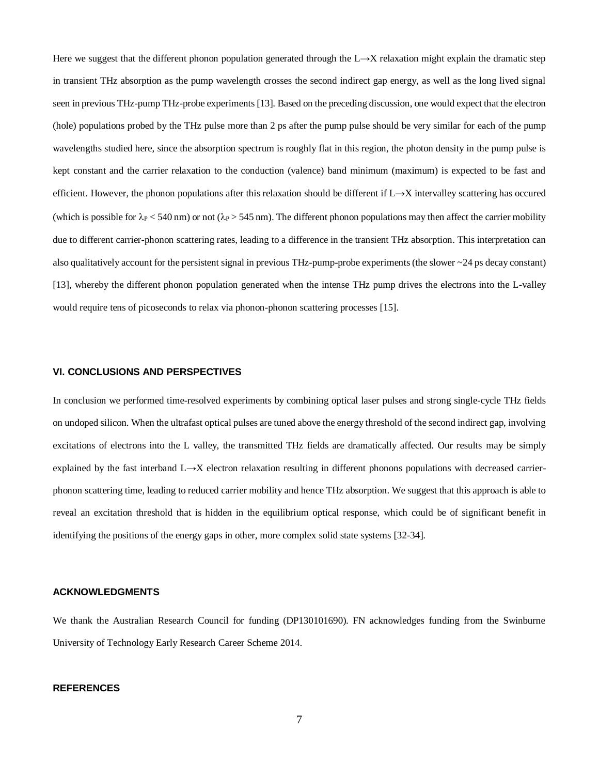Here we suggest that the different phonon population generated through the L→X relaxation might explain the dramatic step in transient THz absorption as the pump wavelength crosses the second indirect gap energy, as well as the long lived signal seen in previous THz-pump THz-probe experiments [13]. Based on the preceding discussion, one would expect that the electron (hole) populations probed by the THz pulse more than 2 ps after the pump pulse should be very similar for each of the pump wavelengths studied here, since the absorption spectrum is roughly flat in this region, the photon density in the pump pulse is kept constant and the carrier relaxation to the conduction (valence) band minimum (maximum) is expected to be fast and efficient. However, the phonon populations after this relaxation should be different if L→X intervalley scattering has occured (which is possible for  $\lambda_P < 540$  nm) or not ( $\lambda_P > 545$  nm). The different phonon populations may then affect the carrier mobility due to different carrier-phonon scattering rates, leading to a difference in the transient THz absorption. This interpretation can also qualitatively account for the persistent signal in previous THz-pump-probe experiments (the slower  $\sim$  24 ps decay constant) [13], whereby the different phonon population generated when the intense THz pump drives the electrons into the L-valley would require tens of picoseconds to relax via phonon-phonon scattering processes [15].

# **VI. CONCLUSIONS AND PERSPECTIVES**

In conclusion we performed time-resolved experiments by combining optical laser pulses and strong single-cycle THz fields on undoped silicon. When the ultrafast optical pulses are tuned above the energy threshold of the second indirect gap, involving excitations of electrons into the L valley, the transmitted THz fields are dramatically affected. Our results may be simply explained by the fast interband L→X electron relaxation resulting in different phonons populations with decreased carrierphonon scattering time, leading to reduced carrier mobility and hence THz absorption. We suggest that this approach is able to reveal an excitation threshold that is hidden in the equilibrium optical response, which could be of significant benefit in identifying the positions of the energy gaps in other, more complex solid state systems [32-34].

### **ACKNOWLEDGMENTS**

We thank the Australian Research Council for funding (DP130101690). FN acknowledges funding from the Swinburne University of Technology Early Research Career Scheme 2014.

### **REFERENCES**